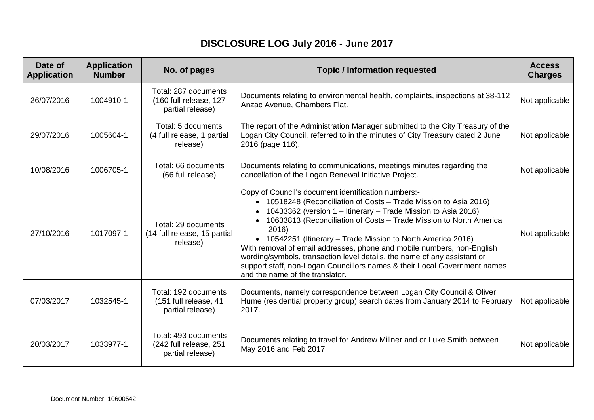## **DISCLOSURE LOG July 2016 - June 2017**

| Date of<br><b>Application</b> | <b>Application</b><br><b>Number</b> | No. of pages                                                       | <b>Topic / Information requested</b>                                                                                                                                                                                                                                                                                                                                                                                                                                                                                                                                                                           | <b>Access</b><br><b>Charges</b> |
|-------------------------------|-------------------------------------|--------------------------------------------------------------------|----------------------------------------------------------------------------------------------------------------------------------------------------------------------------------------------------------------------------------------------------------------------------------------------------------------------------------------------------------------------------------------------------------------------------------------------------------------------------------------------------------------------------------------------------------------------------------------------------------------|---------------------------------|
| 26/07/2016                    | 1004910-1                           | Total: 287 documents<br>(160 full release, 127<br>partial release) | Documents relating to environmental health, complaints, inspections at 38-112<br>Anzac Avenue, Chambers Flat.                                                                                                                                                                                                                                                                                                                                                                                                                                                                                                  | Not applicable                  |
| 29/07/2016                    | 1005604-1                           | Total: 5 documents<br>(4 full release, 1 partial<br>release)       | The report of the Administration Manager submitted to the City Treasury of the<br>Logan City Council, referred to in the minutes of City Treasury dated 2 June<br>2016 (page 116).                                                                                                                                                                                                                                                                                                                                                                                                                             | Not applicable                  |
| 10/08/2016                    | 1006705-1                           | Total: 66 documents<br>(66 full release)                           | Documents relating to communications, meetings minutes regarding the<br>cancellation of the Logan Renewal Initiative Project.                                                                                                                                                                                                                                                                                                                                                                                                                                                                                  | Not applicable                  |
| 27/10/2016                    | 1017097-1                           | Total: 29 documents<br>(14 full release, 15 partial<br>release)    | Copy of Council's document identification numbers:-<br>• 10518248 (Reconciliation of Costs - Trade Mission to Asia 2016)<br>10433362 (version 1 - Itinerary - Trade Mission to Asia 2016)<br>10633813 (Reconciliation of Costs - Trade Mission to North America<br>2016)<br>• 10542251 (Itinerary – Trade Mission to North America 2016)<br>With removal of email addresses, phone and mobile numbers, non-English<br>wording/symbols, transaction level details, the name of any assistant or<br>support staff, non-Logan Councillors names & their Local Government names<br>and the name of the translator. | Not applicable                  |
| 07/03/2017                    | 1032545-1                           | Total: 192 documents<br>(151 full release, 41<br>partial release)  | Documents, namely correspondence between Logan City Council & Oliver<br>Hume (residential property group) search dates from January 2014 to February<br>2017.                                                                                                                                                                                                                                                                                                                                                                                                                                                  | Not applicable                  |
| 20/03/2017                    | 1033977-1                           | Total: 493 documents<br>(242 full release, 251<br>partial release) | Documents relating to travel for Andrew Millner and or Luke Smith between<br>May 2016 and Feb 2017                                                                                                                                                                                                                                                                                                                                                                                                                                                                                                             | Not applicable                  |